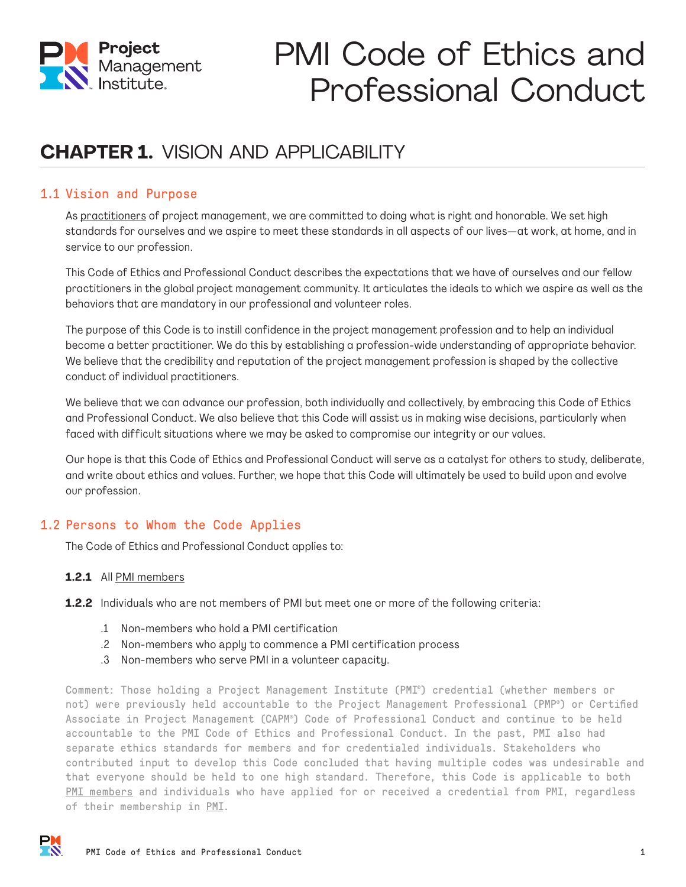

# PMI Code of Ethics and Professional Conduct

# **CHAPTER 1.** VISION AND APPLICABILITY

### 1.1 Vision and Purpose

As practitioners of project management, we are committed to doing what is right and honorable. We set high standards for ourselves and we aspire to meet these standards in all aspects of our lives—at work, at home, and in service to our profession.

This Code of Ethics and Professional Conduct describes the expectations that we have of ourselves and our fellow practitioners in the global project management community. It articulates the ideals to which we aspire as well as the behaviors that are mandatory in our professional and volunteer roles.

The purpose of this Code is to instill confidence in the project management profession and to help an individual become a better practitioner. We do this by establishing a profession-wide understanding of appropriate behavior. We believe that the credibility and reputation of the project management profession is shaped by the collective conduct of individual practitioners.

We believe that we can advance our profession, both individually and collectively, by embracing this Code of Ethics and Professional Conduct. We also believe that this Code will assist us in making wise decisions, particularly when faced with difficult situations where we may be asked to compromise our integrity or our values.

Our hope is that this Code of Ethics and Professional Conduct will serve as a catalyst for others to study, deliberate, and write about ethics and values. Further, we hope that this Code will ultimately be used to build upon and evolve our profession.

#### 1.2 Persons to Whom the Code Applies

The Code of Ethics and Professional Conduct applies to:

#### **1.2.1** All PMI members

- **1.2.2** Individuals who are not members of PMI but meet one or more of the following criteria:
	- .1 Non-members who hold a PMI certification
	- .2 Non-members who apply to commence a PMI certification process
	- .3 Non-members who serve PMI in a volunteer capacity.

Comment: Those holding a Project Management Institute (PMI® ) credential (whether members or not) were previously held accountable to the Project Management Professional (PMP® ) or Certified Associate in Project Management (CAPM® ) Code of Professional Conduct and continue to be held accountable to the PMI Code of Ethics and Professional Conduct. In the past, PMI also had separate ethics standards for members and for credentialed individuals. Stakeholders who contributed input to develop this Code concluded that having multiple codes was undesirable and that everyone should be held to one high standard. Therefore, this Code is applicable to both PMI members and individuals who have applied for or received a credential from PMI, regardless of their membership in PMI.

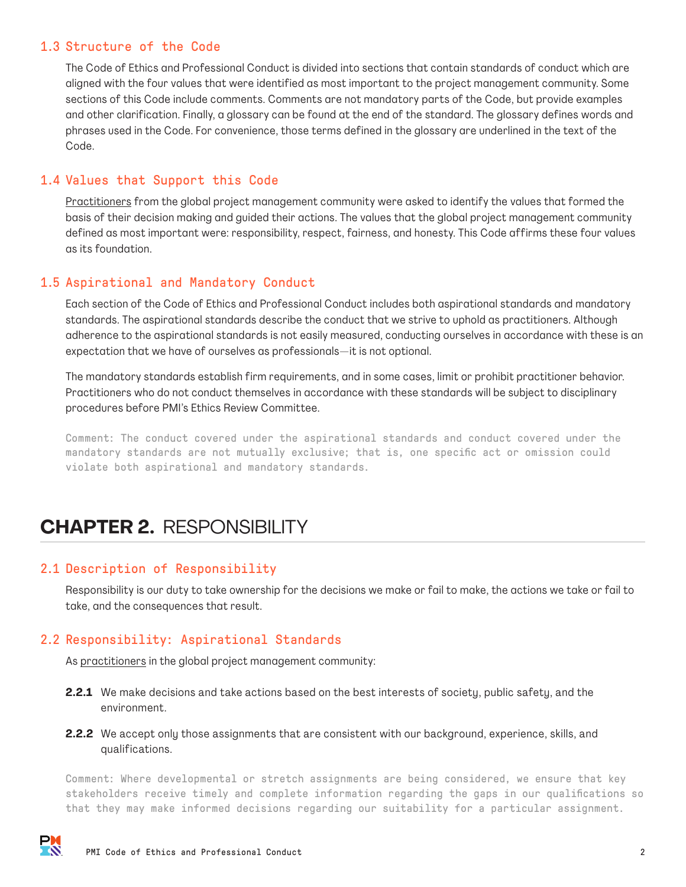### 1.3 Structure of the Code

The Code of Ethics and Professional Conduct is divided into sections that contain standards of conduct which are aligned with the four values that were identified as most important to the project management community. Some sections of this Code include comments. Comments are not mandatory parts of the Code, but provide examples and other clarification. Finally, a glossary can be found at the end of the standard. The glossary defines words and phrases used in the Code. For convenience, those terms defined in the glossary are underlined in the text of the Code.

### 1.4 Values that Support this Code

Practitioners from the global project management community were asked to identify the values that formed the basis of their decision making and guided their actions. The values that the global project management community defined as most important were: responsibility, respect, fairness, and honesty. This Code affirms these four values as its foundation.

### 1.5 Aspirational and Mandatory Conduct

Each section of the Code of Ethics and Professional Conduct includes both aspirational standards and mandatory standards. The aspirational standards describe the conduct that we strive to uphold as practitioners. Although adherence to the aspirational standards is not easily measured, conducting ourselves in accordance with these is an expectation that we have of ourselves as professionals—it is not optional.

The mandatory standards establish firm requirements, and in some cases, limit or prohibit practitioner behavior. Practitioners who do not conduct themselves in accordance with these standards will be subject to disciplinary procedures before PMI's Ethics Review Committee.

Comment: The conduct covered under the aspirational standards and conduct covered under the mandatory standards are not mutually exclusive; that is, one specific act or omission could violate both aspirational and mandatory standards.

# **CHAPTER 2.** RESPONSIBILITY

#### 2.1 Description of Responsibility

Responsibility is our duty to take ownership for the decisions we make or fail to make, the actions we take or fail to take, and the consequences that result.

# 2.2 Responsibility: Aspirational Standards

As practitioners in the global project management community:

- **2.2.1** We make decisions and take actions based on the best interests of society, public safety, and the environment.
- **2.2.2** We accept only those assignments that are consistent with our background, experience, skills, and qualifications.

Comment: Where developmental or stretch assignments are being considered, we ensure that key stakeholders receive timely and complete information regarding the gaps in our qualifications so that they may make informed decisions regarding our suitability for a particular assignment.

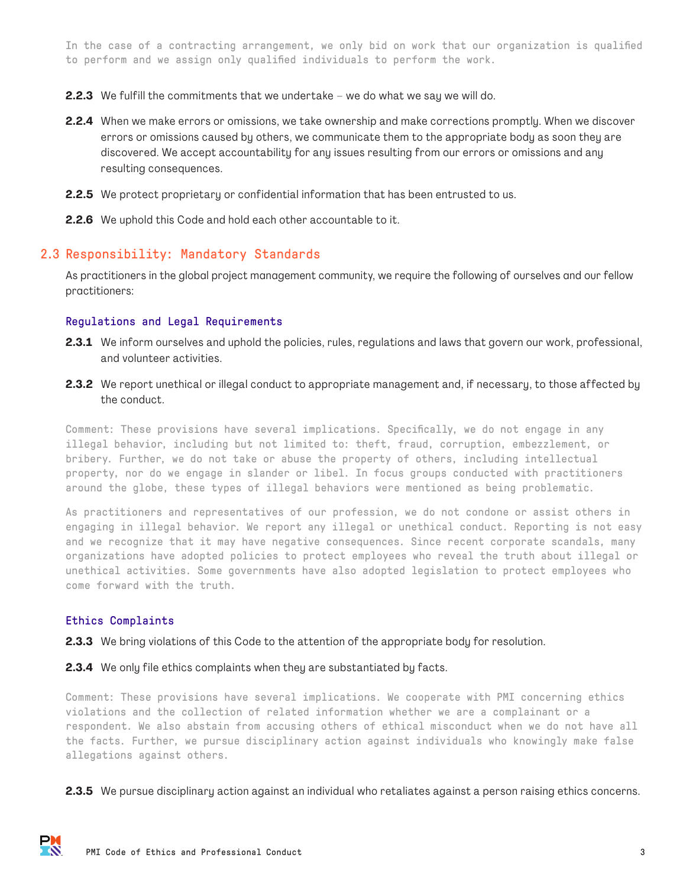In the case of a contracting arrangement, we only bid on work that our organization is qualified to perform and we assign only qualified individuals to perform the work.

- **2.2.3** We fulfill the commitments that we undertake we do what we say we will do.
- **2.2.4** When we make errors or omissions, we take ownership and make corrections promptly. When we discover errors or omissions caused by others, we communicate them to the appropriate body as soon they are discovered. We accept accountability for any issues resulting from our errors or omissions and any resulting consequences.
- **2.2.5** We protect proprietary or confidential information that has been entrusted to us.
- **2.2.6** We uphold this Code and hold each other accountable to it.

#### 2.3 Responsibility: Mandatory Standards

As practitioners in the global project management community, we require the following of ourselves and our fellow practitioners:

#### Regulations and Legal Requirements

- **2.3.1** We inform ourselves and uphold the policies, rules, regulations and laws that govern our work, professional, and volunteer activities.
- **2.3.2** We report unethical or illegal conduct to appropriate management and, if necessary, to those affected by the conduct.

Comment: These provisions have several implications. Specifically, we do not engage in any illegal behavior, including but not limited to: theft, fraud, corruption, embezzlement, or bribery. Further, we do not take or abuse the property of others, including intellectual property, nor do we engage in slander or libel. In focus groups conducted with practitioners around the globe, these types of illegal behaviors were mentioned as being problematic.

As practitioners and representatives of our profession, we do not condone or assist others in engaging in illegal behavior. We report any illegal or unethical conduct. Reporting is not easy and we recognize that it may have negative consequences. Since recent corporate scandals, many organizations have adopted policies to protect employees who reveal the truth about illegal or unethical activities. Some governments have also adopted legislation to protect employees who come forward with the truth.

#### Ethics Complaints

**2.3.3** We bring violations of this Code to the attention of the appropriate body for resolution.

#### **2.3.4** We only file ethics complaints when they are substantiated by facts.

Comment: These provisions have several implications. We cooperate with PMI concerning ethics violations and the collection of related information whether we are a complainant or a respondent. We also abstain from accusing others of ethical misconduct when we do not have all the facts. Further, we pursue disciplinary action against individuals who knowingly make false allegations against others.

#### **2.3.5** We pursue disciplinary action against an individual who retaliates against a person raising ethics concerns.

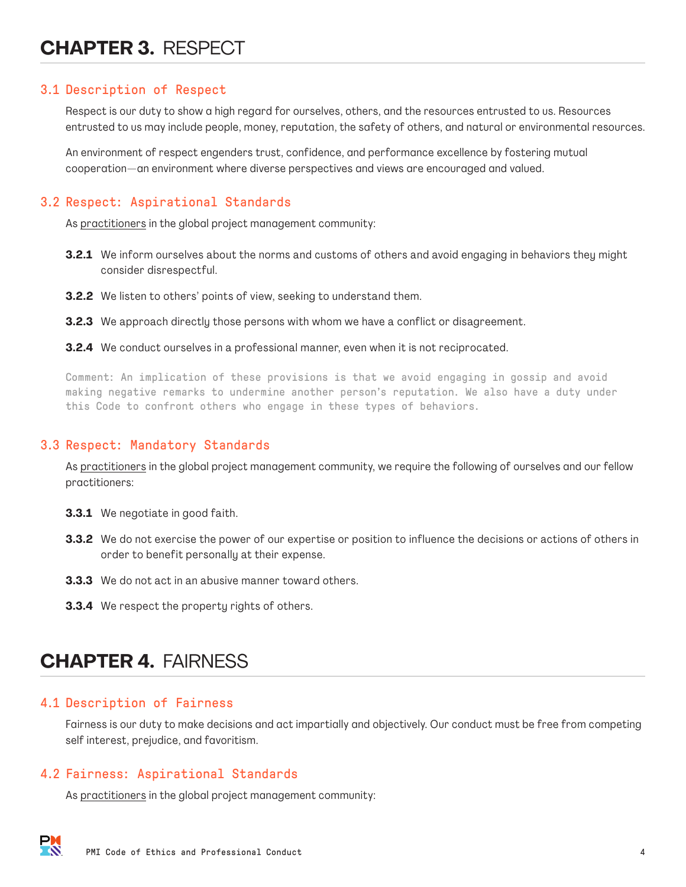# 3.1 Description of Respect

Respect is our duty to show a high regard for ourselves, others, and the resources entrusted to us. Resources entrusted to us may include people, money, reputation, the safety of others, and natural or environmental resources.

An environment of respect engenders trust, confidence, and performance excellence by fostering mutual cooperation—an environment where diverse perspectives and views are encouraged and valued.

# 3.2 Respect: Aspirational Standards

As practitioners in the global project management community:

- **3.2.1** We inform ourselves about the norms and customs of others and avoid engaging in behaviors they might consider disrespectful.
- **3.2.2** We listen to others' points of view, seeking to understand them.
- **3.2.3** We approach directly those persons with whom we have a conflict or disagreement.
- **3.2.4** We conduct ourselves in a professional manner, even when it is not reciprocated.

Comment: An implication of these provisions is that we avoid engaging in gossip and avoid making negative remarks to undermine another person's reputation. We also have a duty under this Code to confront others who engage in these types of behaviors.

### 3.3 Respect: Mandatory Standards

As practitioners in the global project management community, we require the following of ourselves and our fellow practitioners:

- **3.3.1** We negotiate in good faith.
- **3.3.2** We do not exercise the power of our expertise or position to influence the decisions or actions of others in order to benefit personally at their expense.
- **3.3.3** We do not act in an abusive manner toward others.
- **3.3.4** We respect the property rights of others.

# **CHAPTER 4.** FAIRNESS

# 4.1 Description of Fairness

Fairness is our duty to make decisions and act impartially and objectively. Our conduct must be free from competing self interest, prejudice, and favoritism.

# 4.2 Fairness: Aspirational Standards

As practitioners in the global project management community:

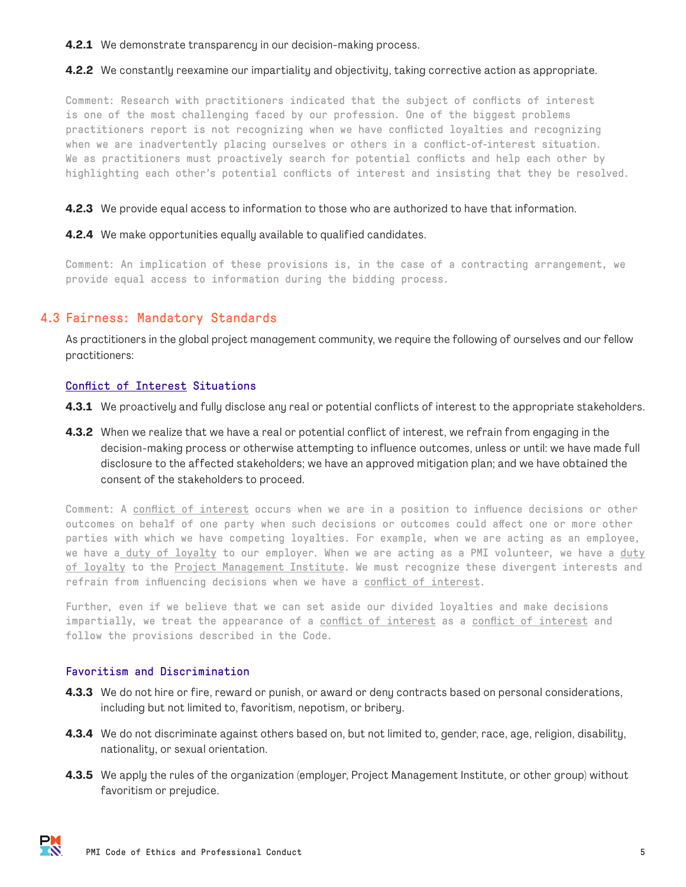#### **4.2.1** We demonstrate transparency in our decision-making process.

#### **4.2.2** We constantly reexamine our impartiality and objectivity, taking corrective action as appropriate.

Comment: Research with practitioners indicated that the subject of conflicts of interest is one of the most challenging faced by our profession. One of the biggest problems practitioners report is not recognizing when we have conflicted loyalties and recognizing when we are inadvertently placing ourselves or others in a conflict-of-interest situation. We as practitioners must proactively search for potential conflicts and help each other by highlighting each other's potential conflicts of interest and insisting that they be resolved.

#### **4.2.3** We provide equal access to information to those who are authorized to have that information.

#### **4.2.4** We make opportunities equally available to qualified candidates.

Comment: An implication of these provisions is, in the case of a contracting arrangement, we provide equal access to information during the bidding process.

#### 4.3 Fairness: Mandatory Standards

As practitioners in the global project management community, we require the following of ourselves and our fellow practitioners:

#### Conflict of Interest Situations

- **4.3.1** We proactively and fully disclose any real or potential conflicts of interest to the appropriate stakeholders.
- **4.3.2** When we realize that we have a real or potential conflict of interest, we refrain from engaging in the decision-making process or otherwise attempting to influence outcomes, unless or until: we have made full disclosure to the affected stakeholders; we have an approved mitigation plan; and we have obtained the consent of the stakeholders to proceed.

Comment: A conflict of interest occurs when we are in a position to influence decisions or other outcomes on behalf of one party when such decisions or outcomes could affect one or more other parties with which we have competing loyalties. For example, when we are acting as an employee, we have a duty of loyalty to our employer. When we are acting as a PMI volunteer, we have a duty of loyalty to the Project Management Institute. We must recognize these divergent interests and refrain from influencing decisions when we have a conflict of interest.

Further, even if we believe that we can set aside our divided loyalties and make decisions impartially, we treat the appearance of a conflict of interest as a conflict of interest and follow the provisions described in the Code.

#### Favoritism and Discrimination

- **4.3.3** We do not hire or fire, reward or punish, or award or deny contracts based on personal considerations, including but not limited to, favoritism, nepotism, or bribery.
- **4.3.4** We do not discriminate against others based on, but not limited to, gender, race, age, religion, disability, nationality, or sexual orientation.
- **4.3.5** We apply the rules of the organization (employer, Project Management Institute, or other group) without favoritism or prejudice.

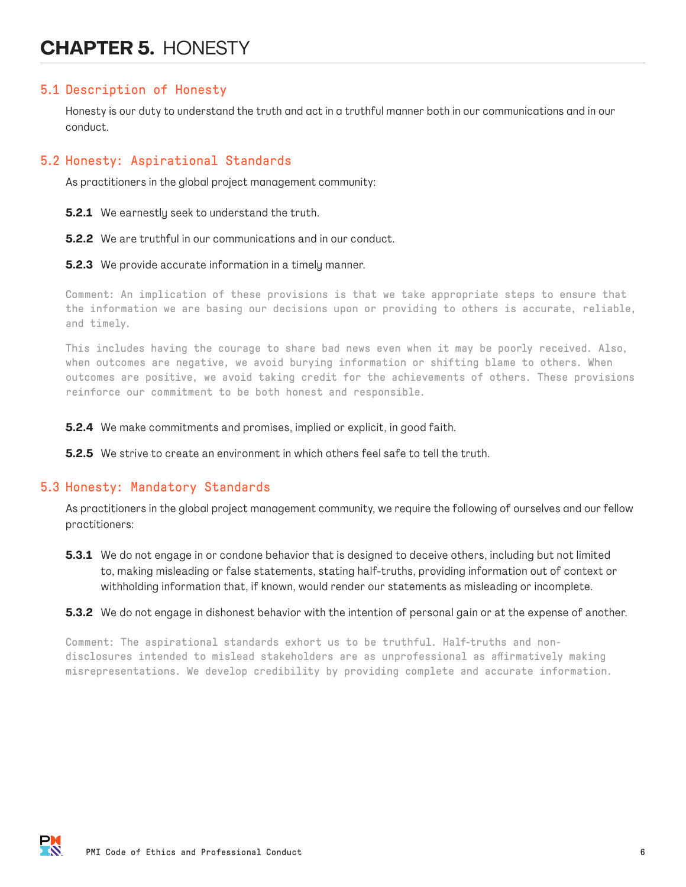# 5.1 Description of Honesty

Honesty is our duty to understand the truth and act in a truthful manner both in our communications and in our conduct.

# 5.2 Honesty: Aspirational Standards

As practitioners in the global project management community:

- **5.2.1** We earnestly seek to understand the truth.
- **5.2.2** We are truthful in our communications and in our conduct.

#### **5.2.3** We provide accurate information in a timely manner.

Comment: An implication of these provisions is that we take appropriate steps to ensure that the information we are basing our decisions upon or providing to others is accurate, reliable, and timely.

This includes having the courage to share bad news even when it may be poorly received. Also, when outcomes are negative, we avoid burying information or shifting blame to others. When outcomes are positive, we avoid taking credit for the achievements of others. These provisions reinforce our commitment to be both honest and responsible.

- **5.2.4** We make commitments and promises, implied or explicit, in good faith.
- **5.2.5** We strive to create an environment in which others feel safe to tell the truth.

#### 5.3 Honesty: Mandatory Standards

As practitioners in the global project management community, we require the following of ourselves and our fellow practitioners:

**5.3.1** We do not engage in or condone behavior that is designed to deceive others, including but not limited to, making misleading or false statements, stating half-truths, providing information out of context or withholding information that, if known, would render our statements as misleading or incomplete.

#### **5.3.2** We do not engage in dishonest behavior with the intention of personal gain or at the expense of another.

Comment: The aspirational standards exhort us to be truthful. Half-truths and nondisclosures intended to mislead stakeholders are as unprofessional as affirmatively making misrepresentations. We develop credibility by providing complete and accurate information.

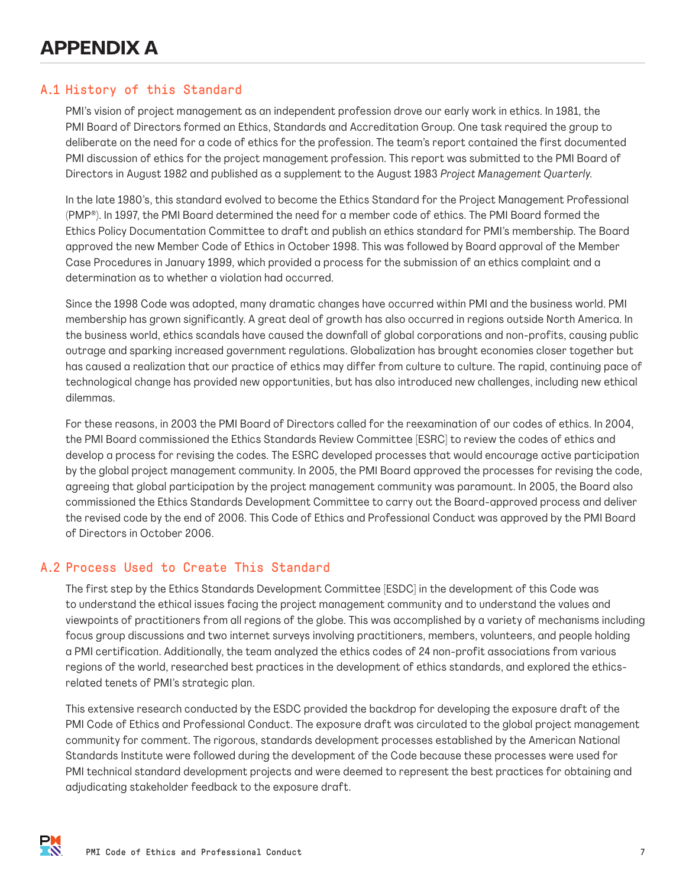# A.1 History of this Standard

PMI's vision of project management as an independent profession drove our early work in ethics. In 1981, the PMI Board of Directors formed an Ethics, Standards and Accreditation Group. One task required the group to deliberate on the need for a code of ethics for the profession. The team's report contained the first documented PMI discussion of ethics for the project management profession. This report was submitted to the PMI Board of Directors in August 1982 and published as a supplement to the August 1983 *Project Management Quarterly*.

In the late 1980's, this standard evolved to become the Ethics Standard for the Project Management Professional (PMP®). In 1997, the PMI Board determined the need for a member code of ethics. The PMI Board formed the Ethics Policy Documentation Committee to draft and publish an ethics standard for PMI's membership. The Board approved the new Member Code of Ethics in October 1998. This was followed by Board approval of the Member Case Procedures in January 1999, which provided a process for the submission of an ethics complaint and a determination as to whether a violation had occurred.

Since the 1998 Code was adopted, many dramatic changes have occurred within PMI and the business world. PMI membership has grown significantly. A great deal of growth has also occurred in regions outside North America. In the business world, ethics scandals have caused the downfall of global corporations and non-profits, causing public outrage and sparking increased government regulations. Globalization has brought economies closer together but has caused a realization that our practice of ethics may differ from culture to culture. The rapid, continuing pace of technological change has provided new opportunities, but has also introduced new challenges, including new ethical dilemmas.

For these reasons, in 2003 the PMI Board of Directors called for the reexamination of our codes of ethics. In 2004, the PMI Board commissioned the Ethics Standards Review Committee [ESRC] to review the codes of ethics and develop a process for revising the codes. The ESRC developed processes that would encourage active participation by the global project management community. In 2005, the PMI Board approved the processes for revising the code, agreeing that global participation by the project management community was paramount. In 2005, the Board also commissioned the Ethics Standards Development Committee to carry out the Board-approved process and deliver the revised code by the end of 2006. This Code of Ethics and Professional Conduct was approved by the PMI Board of Directors in October 2006.

# A.2 Process Used to Create This Standard

The first step by the Ethics Standards Development Committee [ESDC] in the development of this Code was to understand the ethical issues facing the project management community and to understand the values and viewpoints of practitioners from all regions of the globe. This was accomplished by a variety of mechanisms including focus group discussions and two internet surveys involving practitioners, members, volunteers, and people holding a PMI certification. Additionally, the team analyzed the ethics codes of 24 non-profit associations from various regions of the world, researched best practices in the development of ethics standards, and explored the ethicsrelated tenets of PMI's strategic plan.

This extensive research conducted by the ESDC provided the backdrop for developing the exposure draft of the PMI Code of Ethics and Professional Conduct. The exposure draft was circulated to the global project management community for comment. The rigorous, standards development processes established by the American National Standards Institute were followed during the development of the Code because these processes were used for PMI technical standard development projects and were deemed to represent the best practices for obtaining and adjudicating stakeholder feedback to the exposure draft.